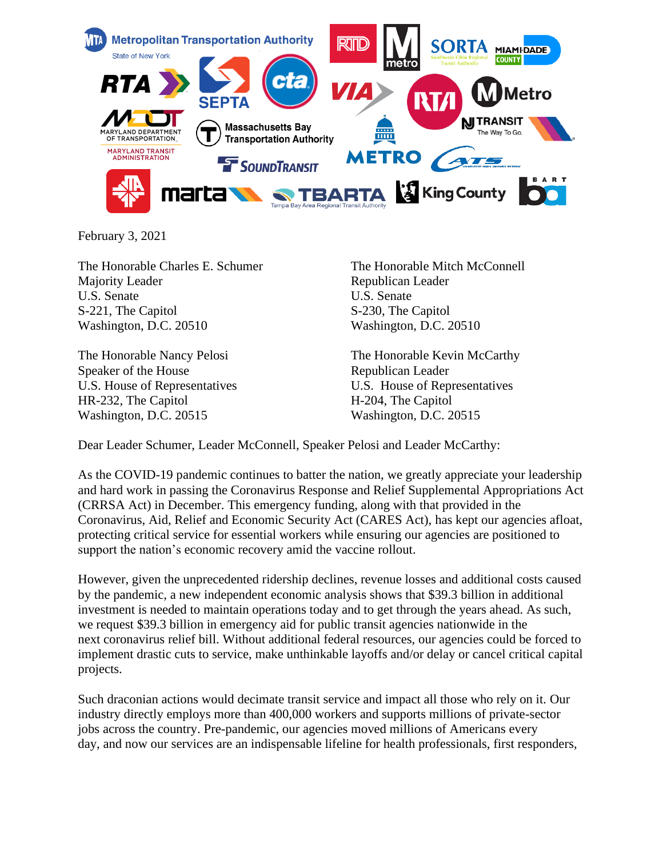

February 3, 2021

The Honorable Charles E. Schumer Majority Leader U.S. Senate S-221, The Capitol Washington, D.C. 20510

The Honorable Nancy Pelosi Speaker of the House U.S. House of Representatives HR-232, The Capitol Washington, D.C. 20515

The Honorable Mitch McConnell Republican Leader U.S. Senate S-230, The Capitol Washington, D.C. 20510

The Honorable Kevin McCarthy Republican Leader U.S. House of Representatives H-204, The Capitol Washington, D.C. 20515

Dear Leader Schumer, Leader McConnell, Speaker Pelosi and Leader McCarthy:

As the COVID-19 pandemic continues to batter the nation, we greatly appreciate your leadership and hard work in passing the Coronavirus Response and Relief Supplemental Appropriations Act (CRRSA Act) in December. This emergency funding, along with that provided in the Coronavirus, Aid, Relief and Economic Security Act (CARES Act), has kept our agencies afloat, protecting critical service for essential workers while ensuring our agencies are positioned to support the nation's economic recovery amid the vaccine rollout.

However, given the unprecedented ridership declines, revenue losses and additional costs caused by the pandemic, a new independent economic analysis shows that \$39.3 billion in additional investment is needed to maintain operations today and to get through the years ahead. As such, we request \$39.3 billion in emergency aid for public transit agencies nationwide in the next coronavirus relief bill. Without additional federal resources, our agencies could be forced to implement drastic cuts to service, make unthinkable layoffs and/or delay or cancel critical capital projects.

Such draconian actions would decimate transit service and impact all those who rely on it. Our industry directly employs more than 400,000 workers and supports millions of private-sector jobs across the country. Pre-pandemic, our agencies moved millions of Americans every day, and now our services are an indispensable lifeline for health professionals, first responders,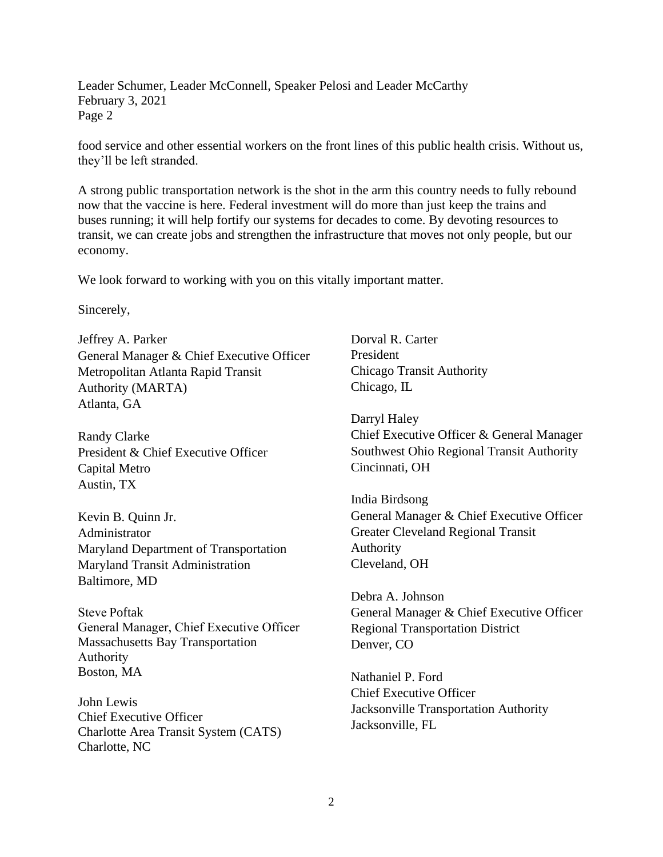Leader Schumer, Leader McConnell, Speaker Pelosi and Leader McCarthy February 3, 2021 Page 2

food service and other essential workers on the front lines of this public health crisis. Without us, they'll be left stranded.

A strong public transportation network is the shot in the arm this country needs to fully rebound now that the vaccine is here. Federal investment will do more than just keep the trains and buses running; it will help fortify our systems for decades to come. By devoting resources to transit, we can create jobs and strengthen the infrastructure that moves not only people, but our economy.

We look forward to working with you on this vitally important matter.

Sincerely,

Jeffrey A. Parker General Manager & Chief Executive Officer Metropolitan Atlanta Rapid Transit Authority (MARTA) Atlanta, GA

Randy Clarke President & Chief Executive Officer Capital Metro Austin, TX

Kevin B. Quinn Jr. Administrator Maryland Department of Transportation Maryland Transit Administration Baltimore, MD

Steve Poftak General Manager, Chief Executive Officer  Massachusetts Bay Transportation Authority  Boston, MA

John Lewis Chief Executive Officer Charlotte Area Transit System (CATS) Charlotte, NC

Dorval R. Carter President Chicago Transit Authority Chicago, IL

Darryl Haley Chief Executive Officer & General Manager Southwest Ohio Regional Transit Authority Cincinnati, OH

India Birdsong General Manager & Chief Executive Officer Greater Cleveland Regional Transit Authority Cleveland, OH

Debra A. Johnson General Manager & Chief Executive Officer Regional Transportation District Denver, CO

Nathaniel P. Ford Chief Executive Officer Jacksonville Transportation Authority Jacksonville, FL